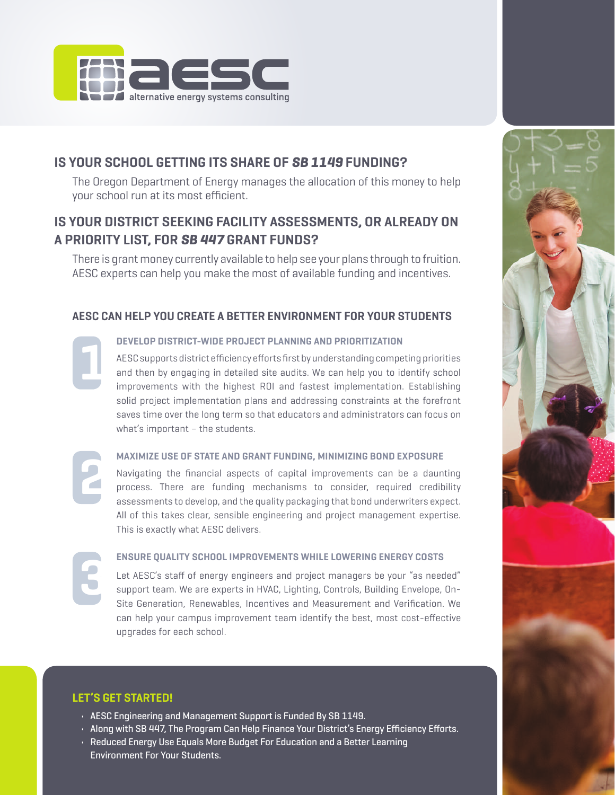

# **IS YOUR SCHOOL GETTING ITS SHARE OF** *SB 1149* **FUNDING?**

The Oregon Department of Energy manages the allocation of this money to help your school run at its most efficient.

# **IS YOUR DISTRICT SEEKING FACILITY ASSESSMENTS, OR ALREADY ON A PRIORITY LIST, FOR** *SB 447* **GRANT FUNDS?**

There is grant money currently available to help see your plans through to fruition. AESC experts can help you make the most of available funding and incentives.

## **AESC CAN HELP YOU CREATE A BETTER ENVIRONMENT FOR YOUR STUDENTS**

**DEVELOP DISTRICT-WIDE PROJECT PLANNING AND PRIORITIZATION**

AESC supports district efficiency efforts first by understanding competing priorities and then by engaging in detailed site audits. We can help you to identify school improvements with the highest ROI and fastest implementation. Establishing solid project implementation plans and addressing constraints at the forefront saves time over the long term so that educators and administrators can focus on what's important – the students.

### **MAXIMIZE USE OF STATE AND GRANT FUNDING, MINIMIZING BOND EXPOSURE**

Navigating the financial aspects of capital improvements can be a daunting process. There are funding mechanisms to consider, required credibility assessments to develop, and the quality packaging that bond underwriters expect. All of this takes clear, sensible engineering and project management expertise. This is exactly what AESC delivers.

### **ENSURE QUALITY SCHOOL IMPROVEMENTS WHILE LOWERING ENERGY COSTS**

Let AESC's staff of energy engineers and project managers be your "as needed" support team. We are experts in HVAC, Lighting, Controls, Building Envelope, On-Site Generation, Renewables, Incentives and Measurement and Verification. We can help your campus improvement team identify the best, most cost-effective upgrades for each school.

## **LET'S GET STARTED!**

**1**

**2**

**3**

- AESC Engineering and Management Support is Funded By SB 1149.
- Along with SB 447, The Program Can Help Finance Your District's Energy Efficiency Efforts.
- Reduced Energy Use Equals More Budget For Education and a Better Learning Environment For Your Students.